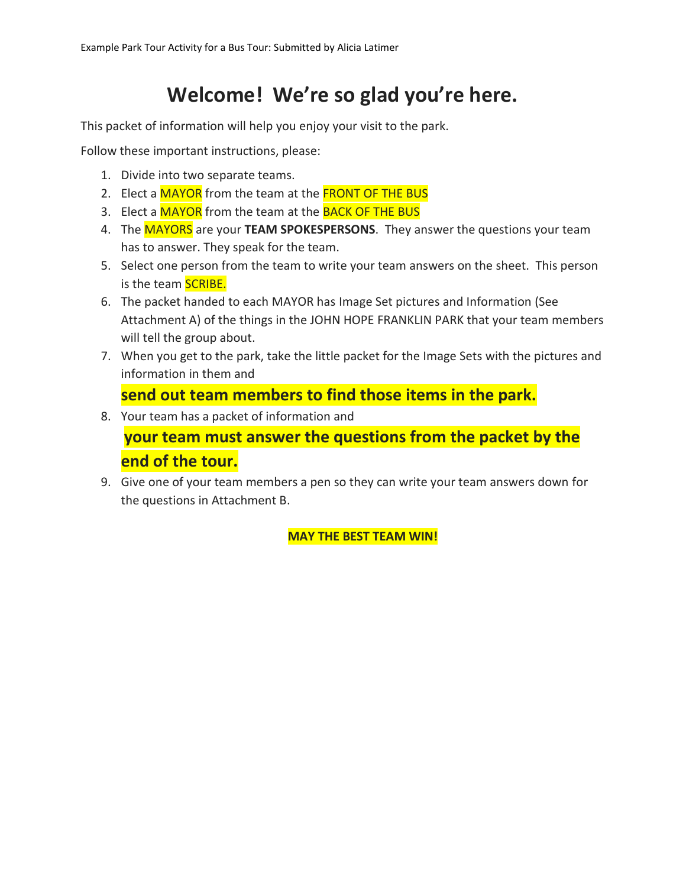# **Welcome! We're so glad you're here.**

This packet of information will help you enjoy your visit to the park.

Follow these important instructions, please:

- 1. Divide into two separate teams.
- 2. Elect a MAYOR from the team at the FRONT OF THE BUS
- 3. Elect a MAYOR from the team at the BACK OF THE BUS
- 4. The MAYORS are your **TEAM SPOKESPERSONS**. They answer the questions your team has to answer. They speak for the team.
- 5. Select one person from the team to write your team answers on the sheet. This person is the team **SCRIBE.**
- 6. The packet handed to each MAYOR has Image Set pictures and Information (See Attachment A) of the things in the JOHN HOPE FRANKLIN PARK that your team members will tell the group about.
- 7. When you get to the park, take the little packet for the Image Sets with the pictures and information in them and

# **send out team members to find those items in the park.**

8. Your team has a packet of information and

**your team must answer the questions from the packet by the end of the tour.**

9. Give one of your team members a pen so they can write your team answers down for the questions in Attachment B.

**MAY THE BEST TEAM WIN!**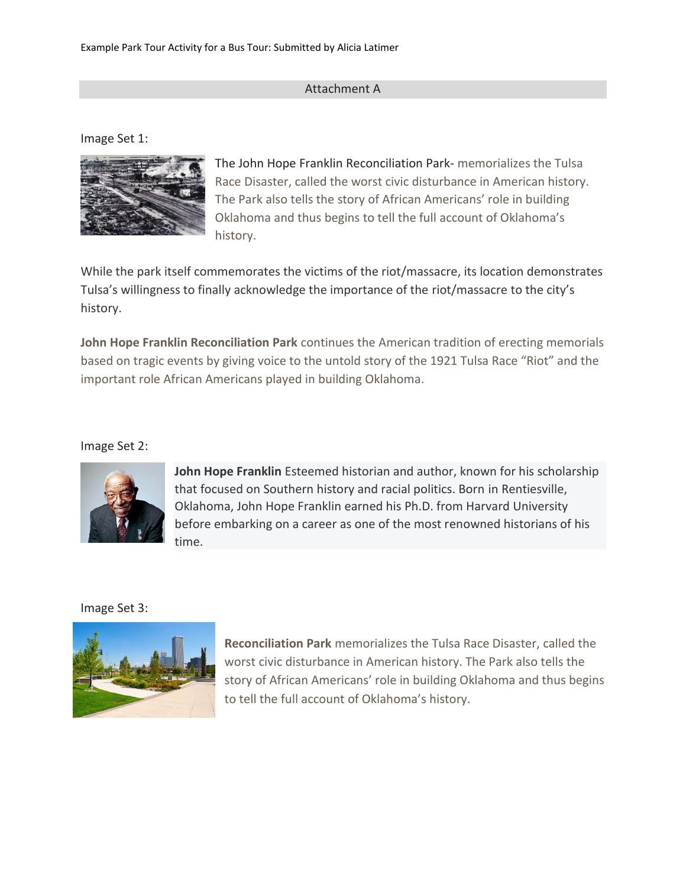## Attachment A

Image Set 1:



The John Hope Franklin Reconciliation Park- memorializes the Tulsa Race Disaster, called the worst civic disturbance in American history. The Park also tells the story of African Americans' role in building Oklahoma and thus begins to tell the full account of Oklahoma's history.

While the park itself commemorates the victims of the riot/massacre, its location demonstrates Tulsa's willingness to finally acknowledge the importance of the riot/massacre to the city's history.

**John Hope Franklin Reconciliation Park** continues the American tradition of erecting memorials based on tragic events by giving voice to the untold story of the 1921 Tulsa Race "Riot" and the important role African Americans played in building Oklahoma.

Image Set 2:



**John Hope Franklin** Esteemed historian and author, known for his scholarship that focused on Southern history and racial politics. Born in Rentiesville, Oklahoma, John Hope Franklin earned his Ph.D. from Harvard University before embarking on a career as one of the most renowned historians of his time.

Image Set 3:



**Reconciliation Park** memorializes the Tulsa Race Disaster, called the worst civic disturbance in American history. The Park also tells the story of African Americans' role in building Oklahoma and thus begins to tell the full account of Oklahoma's history.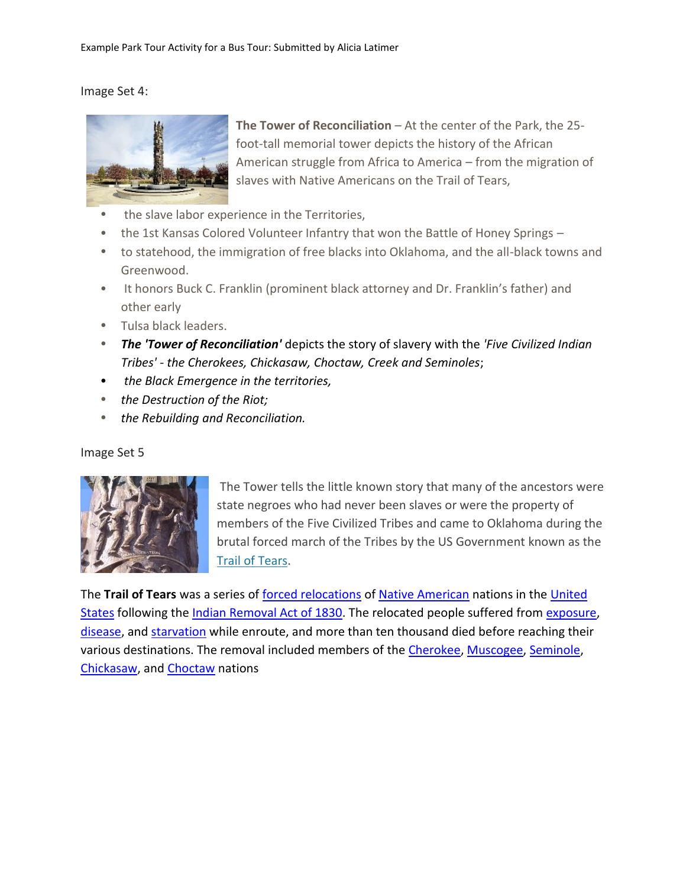#### Image Set 4:



**The Tower of Reconciliation** – At the center of the Park, the 25 foot-tall memorial tower depicts the history of the African American struggle from Africa to America – from the migration of slaves with Native Americans on the Trail of Tears,

- the slave labor experience in the Territories,
- the 1st Kansas Colored Volunteer Infantry that won the Battle of Honey Springs –
- to statehood, the immigration of free blacks into Oklahoma, and the all-black towns and Greenwood.
- It honors Buck C. Franklin (prominent black attorney and Dr. Franklin's father) and other early
- Tulsa black leaders.
- *The 'Tower of Reconciliation'* depicts the story of slavery with the *'Five Civilized Indian Tribes' - the Cherokees, Chickasaw, Choctaw, Creek and Seminoles*;
- *the Black Emergence in the territories,*
- *the Destruction of the Riot;*
- *the Rebuilding and Reconciliation.*

#### Image Set 5



The Tower tells the little known story that many of the ancestors were state negroes who had never been slaves or were the property of members of the Five Civilized Tribes and came to Oklahoma during the brutal forced march of the Tribes by the US Government known as the [Trail of Tears.](http://en.wikipedia.org/wiki/Trail_of_Tears)

The **Trail of Tears** was a series of [forced relocations](https://en.wikipedia.org/wiki/Forced_migration) of [Native American](https://en.wikipedia.org/wiki/Native_Americans_in_the_United_States) nations in the [United](https://en.wikipedia.org/wiki/United_States)  [States](https://en.wikipedia.org/wiki/United_States) following the [Indian Removal Act of 1830.](https://en.wikipedia.org/wiki/Indian_Removal_Act) The relocated people suffered from [exposure,](https://en.wikipedia.org/wiki/Hypothermia) [disease,](https://en.wikipedia.org/wiki/Disease) and [starvation](https://en.wikipedia.org/wiki/Starvation) while enroute, and more than ten thousand died before reaching their various destinations. The removal included members of the [Cherokee,](https://en.wikipedia.org/wiki/Cherokee) [Muscogee,](https://en.wikipedia.org/wiki/Muscogee_(Creek)_Nation) [Seminole,](https://en.wikipedia.org/wiki/Seminole) [Chickasaw,](https://en.wikipedia.org/wiki/Chickasaw) and [Choctaw](https://en.wikipedia.org/wiki/Choctaw) nations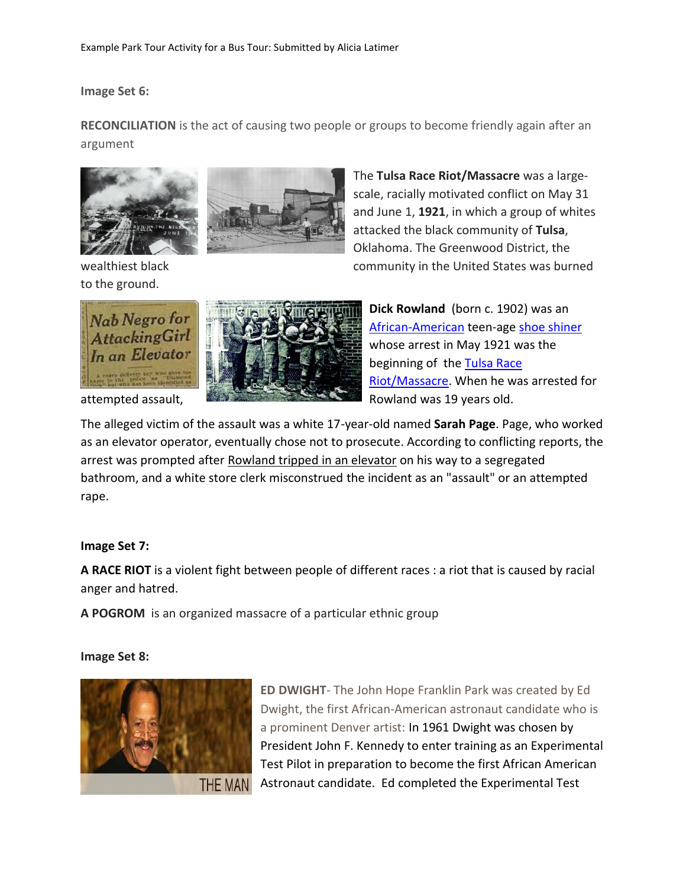**Image Set 6:**

**RECONCILIATION** is the act of causing two people or groups to become friendly again after an argument





to the ground.

The **Tulsa Race Riot/Massacre** was a largescale, racially motivated conflict on May 31 and June 1, **1921**, in which a group of whites attacked the black community of **Tulsa**, Oklahoma. The Greenwood District, the wealthiest black community in the United States was burned





**Dick Rowland** (born c. 1902) was an [African-American](https://en.wikipedia.org/wiki/African-American) teen-age [shoe shiner](https://en.wikipedia.org/wiki/Shoeshiner) whose arrest in May 1921 was the beginning of the Tulsa Race [Riot/](https://en.wikipedia.org/wiki/Tulsa_Race_Riot)Massacre. When he was arrested for

The alleged victim of the assault was a white 17-year-old named **Sarah Page**. Page, who worked as an elevator operator, eventually chose not to prosecute. According to conflicting reports, the arrest was prompted after Rowland tripped in an elevator on his way to a segregated bathroom, and a white store clerk misconstrued the incident as an "assault" or an attempted rape.

# **Image Set 7:**

**A RACE RIOT** is a violent fight between people of different races : a riot that is caused by racial anger and hatred.

**A POGROM** is an organized massacre of a particular ethnic group

### **Image Set 8:**



**ED DWIGHT**- The John Hope Franklin Park was created by Ed Dwight, the first African-American astronaut candidate who is a prominent Denver artist: In 1961 Dwight was chosen by President John F. Kennedy to enter training as an Experimental Test Pilot in preparation to become the first African American Astronaut candidate. Ed completed the Experimental Test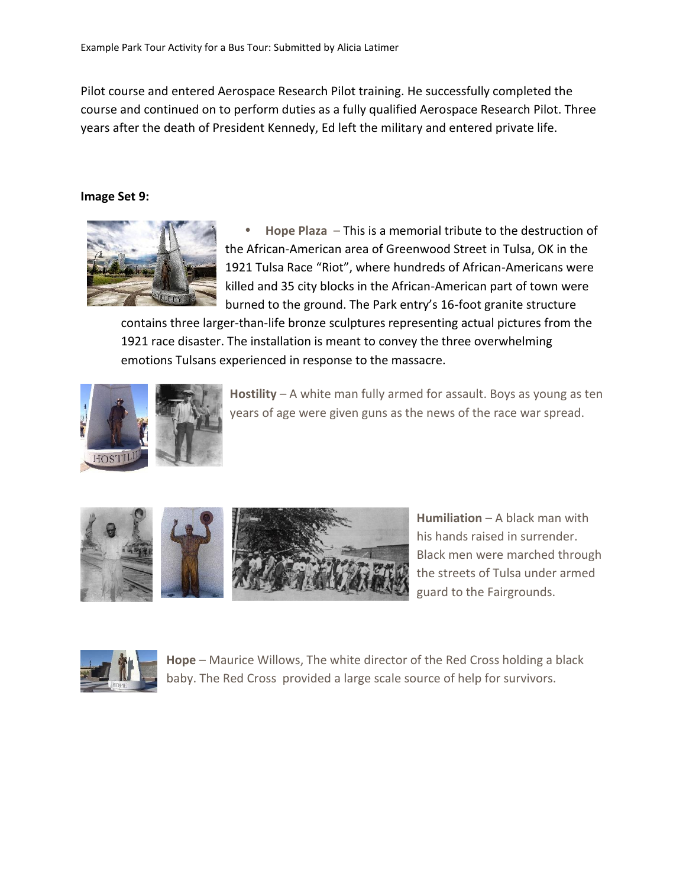Pilot course and entered Aerospace Research Pilot training. He successfully completed the course and continued on to perform duties as a fully qualified Aerospace Research Pilot. Three years after the death of President Kennedy, Ed left the military and entered private life.

#### **Image Set 9:**



 **Hope Plaza** – This is a memorial tribute to the destruction of the African-American area of Greenwood Street in Tulsa, OK in the 1921 Tulsa Race "Riot", where hundreds of African-Americans were killed and 35 city blocks in the African-American part of town were burned to the ground. The Park entry's 16-foot granite structure

contains three larger-than-life bronze sculptures representing actual pictures from the 1921 race disaster. The installation is meant to convey the three overwhelming emotions Tulsans experienced in response to the massacre.



**Hostility** – A white man fully armed for assault. Boys as young as ten years of age were given guns as the news of the race war spread.





**Humiliation** – A black man with his hands raised in surrender. Black men were marched through the streets of Tulsa under armed guard to the Fairgrounds.



**Hope** – Maurice Willows, The white director of the Red Cross holding a black baby. The Red Cross provided a large scale source of help for survivors.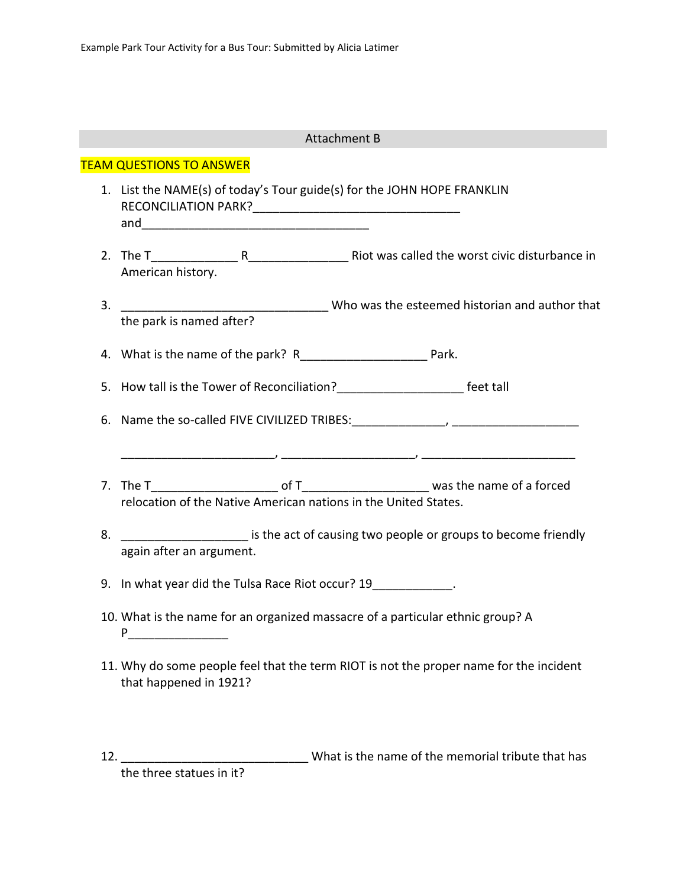|                                 | <b>Attachment B</b>                                                                                                  |
|---------------------------------|----------------------------------------------------------------------------------------------------------------------|
| <b>TEAM QUESTIONS TO ANSWER</b> |                                                                                                                      |
|                                 | 1. List the NAME(s) of today's Tour guide(s) for the JOHN HOPE FRANKLIN                                              |
|                                 | American history.                                                                                                    |
| 3.                              | The park is named after?<br>Who was the esteemed historian and author that<br>the park is named after?               |
|                                 | 4. What is the name of the park? R__________________________ Park.                                                   |
|                                 |                                                                                                                      |
|                                 | <u> 2000 - 2000 - 2000 - 2000 - 2000 - 2000 - 2000 - 2000 - 2000 - 2000 - 2000 - 2000 - 2000 - 2000 - 2000 - 200</u> |
|                                 | relocation of the Native American nations in the United States.                                                      |
| 8.                              | __________________________ is the act of causing two people or groups to become friendly<br>again after an argument. |
|                                 | 9. In what year did the Tulsa Race Riot occur? 19____________.                                                       |
|                                 | 10. What is the name for an organized massacre of a particular ethnic group? A<br>P                                  |
|                                 | 11. Why do some people feel that the term RIOT is not the proper name for the incident<br>that happened in 1921?     |

12. \_\_\_\_\_\_\_\_\_\_\_\_\_\_\_\_\_\_\_\_\_\_\_\_\_\_\_\_\_\_\_\_\_\_ What is the name of the memorial tribute that has the three statues in it?